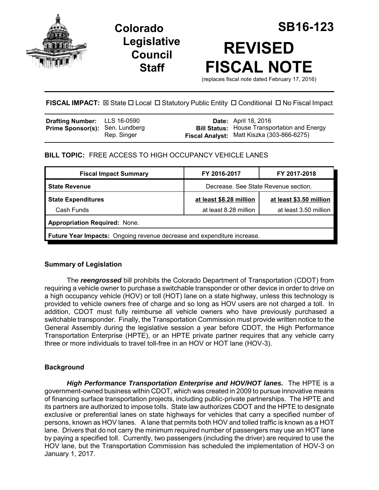

**Legislative Council Staff**

# **Colorado SB16-123 REVISED FISCAL NOTE**

(replaces fiscal note dated February 17, 2016)

# FISCAL IMPACT:  $\boxtimes$  State  $\Box$  Local  $\Box$  Statutory Public Entity  $\Box$  Conditional  $\Box$  No Fiscal Impact

| <b>Drafting Number:</b> LLS 16-0590    |             | <b>Date:</b> April 18, 2016                                                                       |
|----------------------------------------|-------------|---------------------------------------------------------------------------------------------------|
| <b>Prime Sponsor(s): Sen. Lundberg</b> | Rep. Singer | <b>Bill Status:</b> House Transportation and Energy<br>Fiscal Analyst: Matt Kiszka (303-866-6275) |
|                                        |             |                                                                                                   |

# **BILL TOPIC:** FREE ACCESS TO HIGH OCCUPANCY VEHICLE LANES

| <b>Fiscal Impact Summary</b>                                                   | FY 2016-2017                         | FY 2017-2018            |  |  |  |
|--------------------------------------------------------------------------------|--------------------------------------|-------------------------|--|--|--|
| <b>State Revenue</b>                                                           | Decrease. See State Revenue section. |                         |  |  |  |
| <b>State Expenditures</b>                                                      | at least \$8.28 million              | at least \$3.50 million |  |  |  |
| Cash Funds                                                                     | at least 8.28 million                | at least 3.50 million   |  |  |  |
| <b>Appropriation Required: None.</b>                                           |                                      |                         |  |  |  |
| <b>Future Year Impacts:</b> Ongoing revenue decrease and expenditure increase. |                                      |                         |  |  |  |

# **Summary of Legislation**

The *reengrossed* bill prohibits the Colorado Department of Transportation (CDOT) from requiring a vehicle owner to purchase a switchable transponder or other device in order to drive on a high occupancy vehicle (HOV) or toll (HOT) lane on a state highway, unless this technology is provided to vehicle owners free of charge and so long as HOV users are not charged a toll. In addition, CDOT must fully reimburse all vehicle owners who have previously purchased a switchable transponder. Finally, the Transportation Commission must provide written notice to the General Assembly during the legislative session a year before CDOT, the High Performance Transportation Enterprise (HPTE), or an HPTE private partner requires that any vehicle carry three or more individuals to travel toll-free in an HOV or HOT lane (HOV-3).

## **Background**

*High Performance Transportation Enterprise and HOV/HOT lanes.* The HPTE is a government-owned business within CDOT, which was created in 2009 to pursue innovative means of financing surface transportation projects, including public-private partnerships. The HPTE and its partners are authorized to impose tolls. State law authorizes CDOT and the HPTE to designate exclusive or preferential lanes on state highways for vehicles that carry a specified number of persons, known as HOV lanes. A lane that permits both HOV and tolled traffic is known as a HOT lane. Drivers that do not carry the minimum required number of passengers may use an HOT lane by paying a specified toll. Currently, two passengers (including the driver) are required to use the HOV lane, but the Transportation Commission has scheduled the implementation of HOV-3 on January 1, 2017.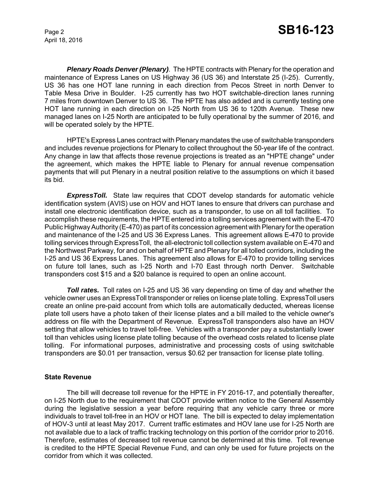April 18, 2016

*Plenary Roads Denver (Plenary)*. The HPTE contracts with Plenary for the operation and maintenance of Express Lanes on US Highway 36 (US 36) and Interstate 25 (I-25). Currently, US 36 has one HOT lane running in each direction from Pecos Street in north Denver to Table Mesa Drive in Boulder. I-25 currently has two HOT switchable-direction lanes running 7 miles from downtown Denver to US 36. The HPTE has also added and is currently testing one HOT lane running in each direction on I-25 North from US 36 to 120th Avenue. These new managed lanes on I-25 North are anticipated to be fully operational by the summer of 2016, and will be operated solely by the HPTE.

HPTE's Express Lanes contract with Plenary mandates the use of switchable transponders and includes revenue projections for Plenary to collect throughout the 50-year life of the contract. Any change in law that affects those revenue projections is treated as an "HPTE change" under the agreement, which makes the HPTE liable to Plenary for annual revenue compensation payments that will put Plenary in a neutral position relative to the assumptions on which it based its bid.

*ExpressToll.* State law requires that CDOT develop standards for automatic vehicle identification system (AVIS) use on HOV and HOT lanes to ensure that drivers can purchase and install one electronic identification device, such as a transponder, to use on all toll facilities. To accomplish these requirements, the HPTE entered into a tolling services agreement with the E-470 Public Highway Authority (E-470) as part of its concession agreement with Plenary for the operation and maintenance of the I-25 and US 36 Express Lanes. This agreement allows E-470 to provide tolling services through ExpressToll, the all-electronic toll collection system available on E-470 and the Northwest Parkway, for and on behalf of HPTE and Plenary for all tolled corridors, including the I-25 and US 36 Express Lanes. This agreement also allows for E-470 to provide tolling services on future toll lanes, such as I-25 North and I-70 East through north Denver. Switchable transponders cost \$15 and a \$20 balance is required to open an online account.

**Toll rates.** Toll rates on I-25 and US 36 vary depending on time of day and whether the vehicle owner uses an ExpressToll transponder or relies on license plate tolling. ExpressToll users create an online pre-paid account from which tolls are automatically deducted, whereas license plate toll users have a photo taken of their license plates and a bill mailed to the vehicle owner's address on file with the Department of Revenue. ExpressToll transponders also have an HOV setting that allow vehicles to travel toll-free. Vehicles with a transponder pay a substantially lower toll than vehicles using license plate tolling because of the overhead costs related to license plate tolling. For informational purposes, administrative and processing costs of using switchable transponders are \$0.01 per transaction, versus \$0.62 per transaction for license plate tolling.

## **State Revenue**

The bill will decrease toll revenue for the HPTE in FY 2016-17, and potentially thereafter, on I-25 North due to the requirement that CDOT provide written notice to the General Assembly during the legislative session a year before requiring that any vehicle carry three or more individuals to travel toll-free in an HOV or HOT lane. The bill is expected to delay implementation of HOV-3 until at least May 2017. Current traffic estimates and HOV lane use for I-25 North are not available due to a lack of traffic tracking technology on this portion of the corridor prior to 2016. Therefore, estimates of decreased toll revenue cannot be determined at this time. Toll revenue is credited to the HPTE Special Revenue Fund, and can only be used for future projects on the corridor from which it was collected.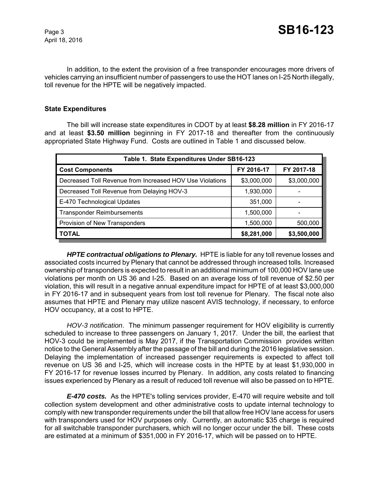April 18, 2016

In addition, to the extent the provision of a free transponder encourages more drivers of vehicles carrying an insufficient number of passengers to use the HOT lanes on I-25 North illegally, toll revenue for the HPTE will be negatively impacted.

## **State Expenditures**

The bill will increase state expenditures in CDOT by at least **\$8.28 million** in FY 2016-17 and at least **\$3.50 million** beginning in FY 2017-18 and thereafter from the continuously appropriated State Highway Fund. Costs are outlined in Table 1 and discussed below.

| Table 1. State Expenditures Under SB16-123               |             |             |  |  |  |
|----------------------------------------------------------|-------------|-------------|--|--|--|
| <b>Cost Components</b>                                   | FY 2016-17  | FY 2017-18  |  |  |  |
| Decreased Toll Revenue from Increased HOV Use Violations | \$3,000,000 | \$3,000,000 |  |  |  |
| Decreased Toll Revenue from Delaying HOV-3               | 1,930,000   |             |  |  |  |
| E-470 Technological Updates                              | 351,000     |             |  |  |  |
| <b>Transponder Reimbursements</b>                        | 1,500,000   |             |  |  |  |
| Provision of New Transponders                            | 1,500,000   | 500,000     |  |  |  |
| <b>TOTAL</b>                                             | \$8,281,000 | \$3,500,000 |  |  |  |

*HPTE contractual obligations to Plenary.* HPTE is liable for any toll revenue losses and associated costs incurred by Plenary that cannot be addressed through increased tolls. Increased ownership of transponders is expected to result in an additional minimum of 100,000 HOV lane use violations per month on US 36 and I-25. Based on an average loss of toll revenue of \$2.50 per violation, this will result in a negative annual expenditure impact for HPTE of at least \$3,000,000 in FY 2016-17 and in subsequent years from lost toll revenue for Plenary. The fiscal note also assumes that HPTE and Plenary may utilize nascent AVIS technology, if necessary, to enforce HOV occupancy, at a cost to HPTE.

*HOV-3 notification*. The minimum passenger requirement for HOV eligibility is currently scheduled to increase to three passengers on January 1, 2017. Under the bill, the earliest that HOV-3 could be implemented is May 2017, if the Transportation Commission provides written notice to the General Assembly after the passage of the bill and during the 2016 legislative session. Delaying the implementation of increased passenger requirements is expected to affect toll revenue on US 36 and I-25, which will increase costs in the HPTE by at least \$1,930,000 in FY 2016-17 for revenue losses incurred by Plenary. In addition, any costs related to financing issues experienced by Plenary as a result of reduced toll revenue will also be passed on to HPTE.

*E-470 costs.* As the HPTE's tolling services provider, E-470 will require website and toll collection system development and other administrative costs to update internal technology to comply with new transponder requirements under the bill that allow free HOV lane access for users with transponders used for HOV purposes only. Currently, an automatic \$35 charge is required for all switchable transponder purchasers, which will no longer occur under the bill. These costs are estimated at a minimum of \$351,000 in FY 2016-17, which will be passed on to HPTE.